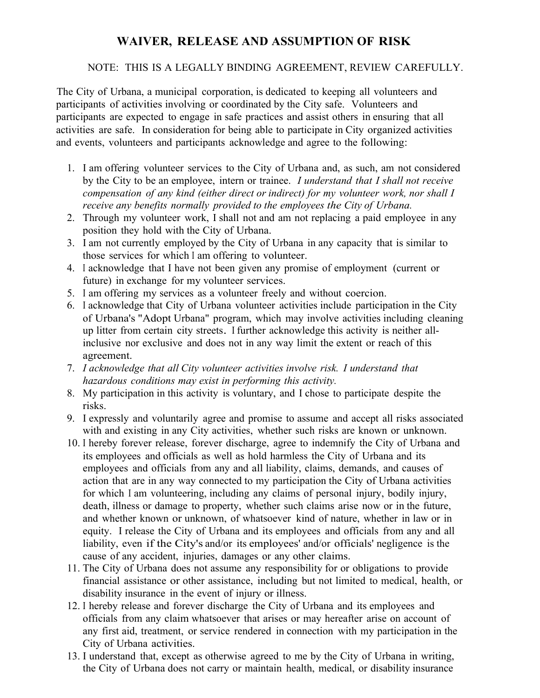## **WAIVER, RELEASE AND ASSUMPTION OF RISK**

## NOTE: THIS IS A LEGALLY BINDING AGREEMENT, REVIEW CAREFULLY.

The City of Urbana, a municipal corporation, is dedicated to keeping all volunteers and participants of activities involving or coordinated by the City safe. Volunteers and participants are expected to engage in safe practices and assist others in ensuring that all activities are safe. In consideration for being able to participate in City organized activities and events, volunteers and participants acknowledge and agree to the following:

- 1. I am offering volunteer services to the City of Urbana and, as such, am not considered by the City to be an employee, intern or trainee. *I understand that I shall not receive compensation of any kind (either direct or indirect) for my volunteer work, nor shall I receive any benefits normally provided to the employees the City of Urbana.*
- 2. Through my volunteer work, I shall not and am not replacing a paid employee in any position they hold with the City of Urbana.
- 3. I am not currently employed by the City of Urbana in any capacity that is similar to those services for which <sup>I</sup> am offering to volunteer.
- 4. I acknowledge that I have not been given any promise of employment (current or future) in exchange for my volunteer services.
- 5. I am offering my services as a volunteer freely and without coercion.
- 6. I acknowledge that City of Urbana volunteer activities include participation in the City of Urbana's "Adopt Urbana" program, which may involve activities including cleaning up litter from certain city streets. I further acknowledge this activity is neither allinclusive nor exclusive and does not in any way limit the extent or reach of this agreement.
- 7. *I acknowledge that all City volunteer activities involve risk. I understand that hazardous conditions may exist in performing this activity.*
- 8. My participation in this activity is voluntary, and I chose to participate despite the risks.
- 9. I expressly and voluntarily agree and promise to assume and accept all risks associated with and existing in any City activities, whether such risks are known or unknown.
- 10. I hereby forever release, forever discharge, agree to indemnify the City of Urbana and its employees and officials as well as hold harmless the City of Urbana and its employees and officials from any and all liability, claims, demands, and causes of action that are in any way connected to my participation the City of Urbana activities for which I am volunteering, including any claims of personal injury, bodily injury, death, illness or damage to property, whether such claims arise now or in the future, and whether known or unknown, of whatsoever kind of nature, whether in law or in equity. I release the City of Urbana and its employees and officials from any and all liability, even if the City's and/or its employees' and/or officials' negligence is the cause of any accident, injuries, damages or any other claims.
- 11. The City of Urbana does not assume any responsibility for or obligations to provide financial assistance or other assistance, including but not limited to medical, health, or disability insurance in the event of injury or illness.
- 12. I hereby release and forever discharge the City of Urbana and its employees and officials from any claim whatsoever that arises or may hereafter arise on account of any first aid, treatment, or service rendered in connection with my participation in the City of Urbana activities.
- 13. I understand that, except as otherwise agreed to me by the City of Urbana in writing, the City of Urbana does not carry or maintain health, medical, or disability insurance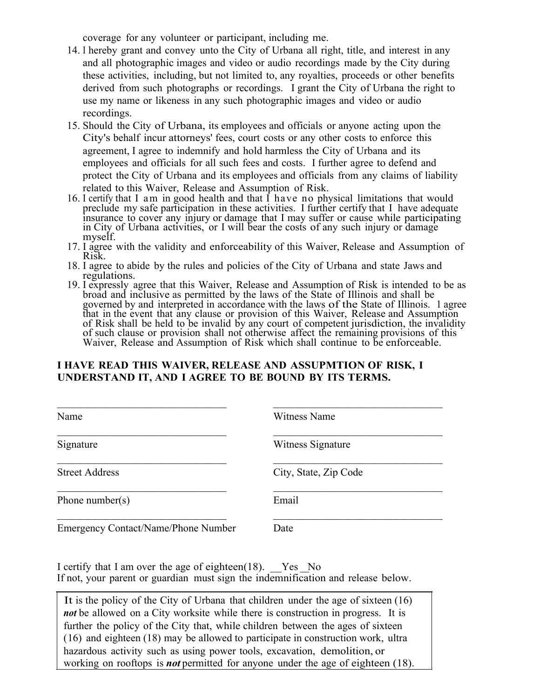coverage for any volunteer or participant, including me.

- 14. I hereby grant and convey unto the City of Urbana all right, title, and interest in any and all photographic images and video or audio recordings made by the City during these activities, including, but not limited to, any royalties, proceeds or other benefits derived from such photographs or recordings. I grant the City of Urbana the right to use my name or likeness in any such photographic images and video or audio recordings.
- 15. Should the City of Urbana, its employees and officials or anyone acting upon the City's behalf incur attorneys' fees, court costs or any other costs to enforce this agreement, I agree to indemnify and hold harmless the City of Urbana and its employees and officials for all such fees and costs. I further agree to defend and protect the City of Urbana and its employees and officials from any claims of liability related to this Waiver, Release and Assumption of Risk.
- 16. I certify that I am in good health and that I have no physical limitations that would preclude my safe participation in these activities. I further certify that I have adequate insurance to cover any injury or damage that I may suffer or cause while participating<br>in City of Urbana activities, or I will bear the costs of any such injury or damage myself.
- 17. I agree with the validity and enforceability of this Waiver, Release and Assumption of Risk.
- 18. I agree to abide by the rules and policies of the City of Urbana and state Jaws and regulations.
- 19. I expressly agree that this Waiver, Release and Assumption of Risk is intended to be as broad and inclusive as permitted by the laws of the State of Illinois and shall be governed by and interpreted in accordance with the laws of the State of Illinois. 1 agree that in the event that any clause or provision of this Waiver, Release and Assumption for Risk shall be held to be invalid by any court of competent jurisdiction, the invalidity of Risk shall be held to be invalid by any court of competent jurisdiction, the invalidity of such clause or provision shall not otherwise affect the remaining provisions of this Waiver, Release and Assumption of Risk which shall continue to be enforceable.

## **I HAVE READ THIS WAIVER, RELEASE AND ASSUPMTION OF RISK, I UNDERSTAND IT, AND I AGREE TO BE BOUND BY ITS TERMS.**

| Name                                       | <b>Witness Name</b>   |
|--------------------------------------------|-----------------------|
| Signature                                  | Witness Signature     |
| <b>Street Address</b>                      | City, State, Zip Code |
| Phone number(s)                            | Email                 |
| <b>Emergency Contact/Name/Phone Number</b> | Date                  |

I certify that I am over the age of eighteen(18). Yes  $\overline{N}$ o If not, your parent or guardian must sign the indemnification and release below.

It is the policy of the City of Urbana that children under the age of sixteen (16) *not* be allowed on a City worksite while there is construction in progress. It is further the policy of the City that, while children between the ages of sixteen (16) and eighteen (18) may be allowed to participate in construction work, ultra hazardous activity such as using power tools, excavation, demolition, or working on rooftops is *not* permitted for anyone under the age of eighteen (18).